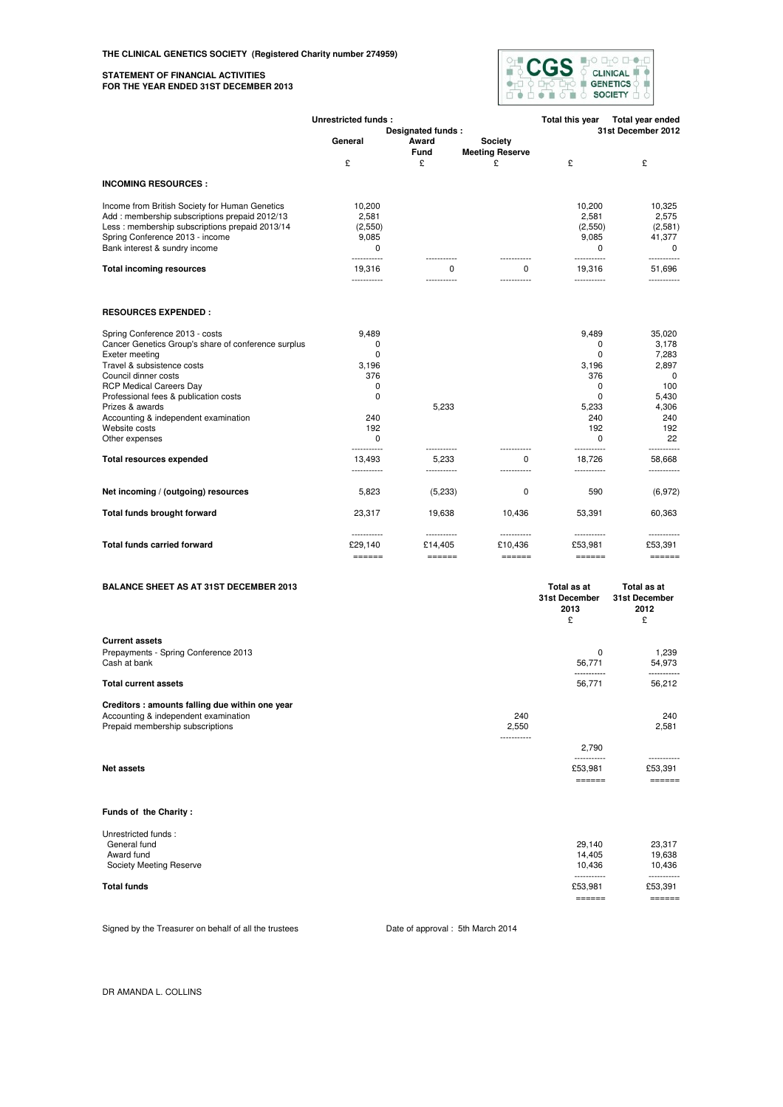#### **STATEMENT OF FINANCIAL ACTIVITIES FOR THE YEAR ENDED 31ST DECEMBER 2013**



|                                                     | Unrestricted funds:                               |                                                |                                                    | Total this year                                                                                                                       | Total year ended                              |
|-----------------------------------------------------|---------------------------------------------------|------------------------------------------------|----------------------------------------------------|---------------------------------------------------------------------------------------------------------------------------------------|-----------------------------------------------|
|                                                     | Designated funds:                                 |                                                |                                                    |                                                                                                                                       | 31st December 2012                            |
|                                                     | General                                           | Award                                          | Society                                            |                                                                                                                                       |                                               |
|                                                     |                                                   | Fund                                           | <b>Meeting Reserve</b>                             |                                                                                                                                       |                                               |
|                                                     | £                                                 | £                                              | £                                                  | £                                                                                                                                     | £                                             |
| <b>INCOMING RESOURCES:</b>                          |                                                   |                                                |                                                    |                                                                                                                                       |                                               |
| Income from British Society for Human Genetics      | 10,200                                            |                                                |                                                    | 10,200                                                                                                                                | 10,325                                        |
| Add: membership subscriptions prepaid 2012/13       | 2,581                                             |                                                |                                                    | 2,581                                                                                                                                 | 2,575                                         |
| Less: membership subscriptions prepaid 2013/14      | (2,550)                                           |                                                |                                                    | (2,550)                                                                                                                               | (2,581)                                       |
| Spring Conference 2013 - income                     | 9,085                                             |                                                |                                                    | 9,085                                                                                                                                 | 41,377                                        |
| Bank interest & sundry income                       | $\Omega$<br>.                                     |                                                |                                                    | $\Omega$<br>                                                                                                                          | $\Omega$<br>-----------                       |
| <b>Total incoming resources</b>                     | 19,316<br>-----------                             | 0<br>                                          | $\Omega$<br>-------                                | 19,316<br>-----------                                                                                                                 | 51,696<br>-----------                         |
| <b>RESOURCES EXPENDED:</b>                          |                                                   |                                                |                                                    |                                                                                                                                       |                                               |
| Spring Conference 2013 - costs                      | 9,489                                             |                                                |                                                    | 9,489                                                                                                                                 | 35,020                                        |
| Cancer Genetics Group's share of conference surplus | $\Omega$                                          |                                                |                                                    | $\Omega$                                                                                                                              | 3,178                                         |
| Exeter meeting                                      | $\Omega$                                          |                                                |                                                    | 0                                                                                                                                     | 7,283                                         |
| Travel & subsistence costs                          | 3,196                                             |                                                |                                                    | 3,196                                                                                                                                 | 2,897                                         |
| Council dinner costs                                | 376                                               |                                                |                                                    | 376                                                                                                                                   | 0                                             |
| <b>RCP Medical Careers Day</b>                      | $\Omega$                                          |                                                |                                                    | $\Omega$                                                                                                                              | 100                                           |
| Professional fees & publication costs               | $\Omega$                                          |                                                |                                                    | $\Omega$                                                                                                                              | 5,430                                         |
| Prizes & awards                                     |                                                   | 5,233                                          |                                                    | 5,233                                                                                                                                 | 4,306                                         |
| Accounting & independent examination                | 240                                               |                                                |                                                    | 240                                                                                                                                   | 240                                           |
| Website costs                                       | 192                                               |                                                |                                                    | 192                                                                                                                                   | 192                                           |
| Other expenses                                      | $\Omega$<br>-----------                           | -----------                                    |                                                    | $\Omega$<br>-----------                                                                                                               | 22<br>-----------                             |
| <b>Total resources expended</b>                     | 13,493<br>-----------                             | 5,233<br>-----------                           | $\Omega$                                           | 18,726<br>-----------                                                                                                                 | 58,668<br>-----------                         |
| Net incoming / (outgoing) resources                 | 5,823                                             | (5,233)                                        | 0                                                  | 590                                                                                                                                   | (6,972)                                       |
| Total funds brought forward                         | 23,317                                            | 19,638                                         | 10,436                                             | 53,391                                                                                                                                | 60,363                                        |
| <b>Total funds carried forward</b>                  | -----------<br>£29,140<br>$=$ $=$ $=$ $=$ $=$ $=$ | ------------<br>£14,405<br>$=$ $=$ $=$ $=$ $=$ | ------------<br>£10,436<br>$=$ $=$ $=$ $=$ $=$ $=$ | ------------<br>£53,981<br>$\qquad \qquad \doteq \qquad \qquad \doteq \qquad \qquad \doteq \qquad \qquad \doteq \qquad \qquad \qquad$ | -----------<br>£53,391<br>$=$ $=$ $=$ $=$ $=$ |
| <b>BALANCE SHEET AS AT 31ST DECEMBER 2013</b>       |                                                   |                                                |                                                    | Total as at<br>31st December<br>2013<br>£                                                                                             | Total as at<br>31st December<br>2012<br>£     |

| <b>Current assets</b><br>Prepayments - Spring Conference 2013<br>Cash at bank |             | 0<br>56.771           | 1.239<br>54.973       |
|-------------------------------------------------------------------------------|-------------|-----------------------|-----------------------|
| <b>Total current assets</b>                                                   |             | -----------<br>56.771 | -----------<br>56.212 |
| Creditors: amounts falling due within one year                                |             |                       |                       |
| Accounting & independent examination                                          | 240         |                       | 240                   |
| Prepaid membership subscriptions                                              | 2.550       |                       | 2.581                 |
|                                                                               | ----------- |                       |                       |
|                                                                               |             | 2.790                 |                       |
|                                                                               |             | -----------           | -----------           |
| Net assets                                                                    |             | £53.981               | £53.391               |
|                                                                               |             | _______               | -------<br>_______    |

# **Funds of the Charity :**

|                                     |                         | -----                  |  |
|-------------------------------------|-------------------------|------------------------|--|
| <b>Total funds</b>                  | ------------<br>£53.981 | -----------<br>£53.391 |  |
| Society Meeting Reserve             | 10.436                  | 10.436                 |  |
| Award fund                          | 14.405                  | 19.638                 |  |
| Unrestricted funds:<br>General fund | 29.140                  | 23.317                 |  |
|                                     |                         |                        |  |

Signed by the Treasurer on behalf of all the trustees Date of approval : 5th March 2014